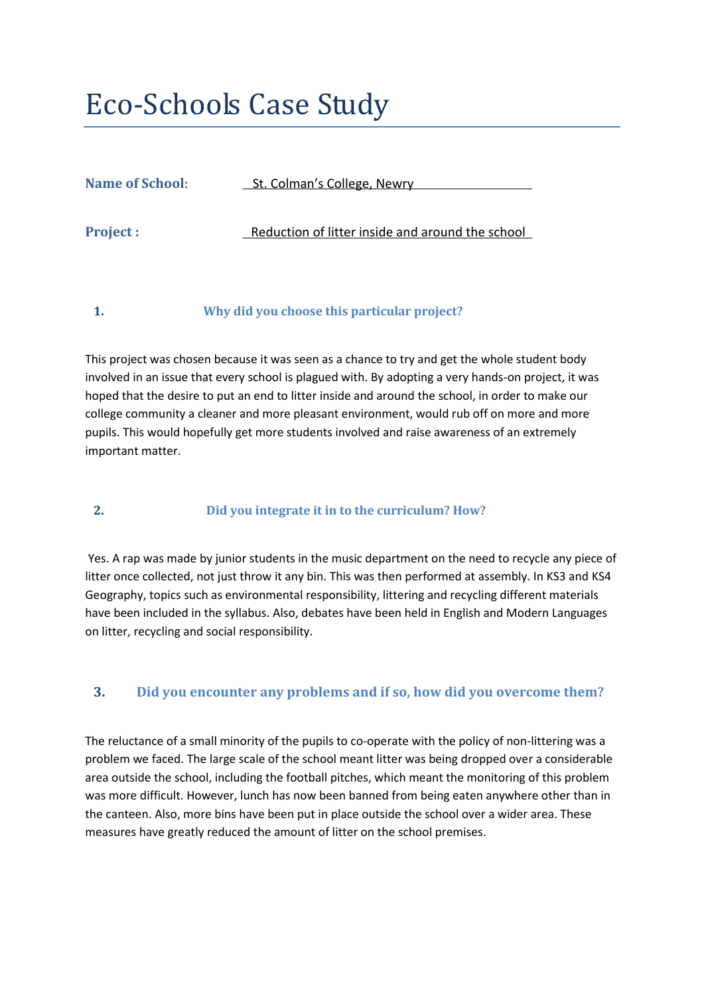# Eco-Schools Case Study

| <b>Name of School:</b> | <b>_St. Colman's College, Newry</b>              |
|------------------------|--------------------------------------------------|
| <b>Project :</b>       | Reduction of litter inside and around the school |

**1. Why did you choose this particular project?** 

This project was chosen because it was seen as a chance to try and get the whole student body involved in an issue that every school is plagued with. By adopting a very hands-on project, it was hoped that the desire to put an end to litter inside and around the school, in order to make our college community a cleaner and more pleasant environment, would rub off on more and more pupils. This would hopefully get more students involved and raise awareness of an extremely important matter.

## **2. Did you integrate it in to the curriculum? How?**

Yes. A rap was made by junior students in the music department on the need to recycle any piece of litter once collected, not just throw it any bin. This was then performed at assembly. In KS3 and KS4 Geography, topics such as environmental responsibility, littering and recycling different materials have been included in the syllabus. Also, debates have been held in English and Modern Languages on litter, recycling and social responsibility.

## **3. Did you encounter any problems and if so, how did you overcome them?**

The reluctance of a small minority of the pupils to co-operate with the policy of non-littering was a problem we faced. The large scale of the school meant litter was being dropped over a considerable area outside the school, including the football pitches, which meant the monitoring of this problem was more difficult. However, lunch has now been banned from being eaten anywhere other than in the canteen. Also, more bins have been put in place outside the school over a wider area. These measures have greatly reduced the amount of litter on the school premises.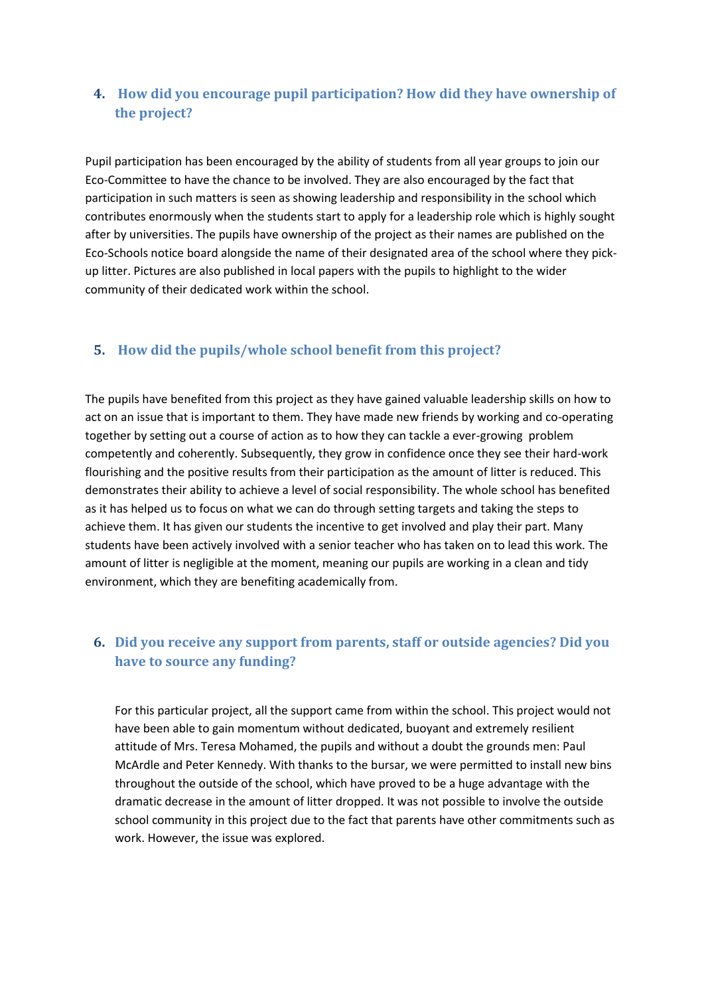# **4. How did you encourage pupil participation? How did they have ownership of the project?**

Pupil participation has been encouraged by the ability of students from all year groups to join our Eco-Committee to have the chance to be involved. They are also encouraged by the fact that participation in such matters is seen as showing leadership and responsibility in the school which contributes enormously when the students start to apply for a leadership role which is highly sought after by universities. The pupils have ownership of the project as their names are published on the Eco-Schools notice board alongside the name of their designated area of the school where they pickup litter. Pictures are also published in local papers with the pupils to highlight to the wider community of their dedicated work within the school.

#### **5. How did the pupils/whole school benefit from this project?**

The pupils have benefited from this project as they have gained valuable leadership skills on how to act on an issue that is important to them. They have made new friends by working and co-operating together by setting out a course of action as to how they can tackle a ever-growing problem competently and coherently. Subsequently, they grow in confidence once they see their hard-work flourishing and the positive results from their participation as the amount of litter is reduced. This demonstrates their ability to achieve a level of social responsibility. The whole school has benefited as it has helped us to focus on what we can do through setting targets and taking the steps to achieve them. It has given our students the incentive to get involved and play their part. Many students have been actively involved with a senior teacher who has taken on to lead this work. The amount of litter is negligible at the moment, meaning our pupils are working in a clean and tidy environment, which they are benefiting academically from.

## **6. Did you receive any support from parents, staff or outside agencies? Did you have to source any funding?**

For this particular project, all the support came from within the school. This project would not have been able to gain momentum without dedicated, buoyant and extremely resilient attitude of Mrs. Teresa Mohamed, the pupils and without a doubt the grounds men: Paul McArdle and Peter Kennedy. With thanks to the bursar, we were permitted to install new bins throughout the outside of the school, which have proved to be a huge advantage with the dramatic decrease in the amount of litter dropped. It was not possible to involve the outside school community in this project due to the fact that parents have other commitments such as work. However, the issue was explored.